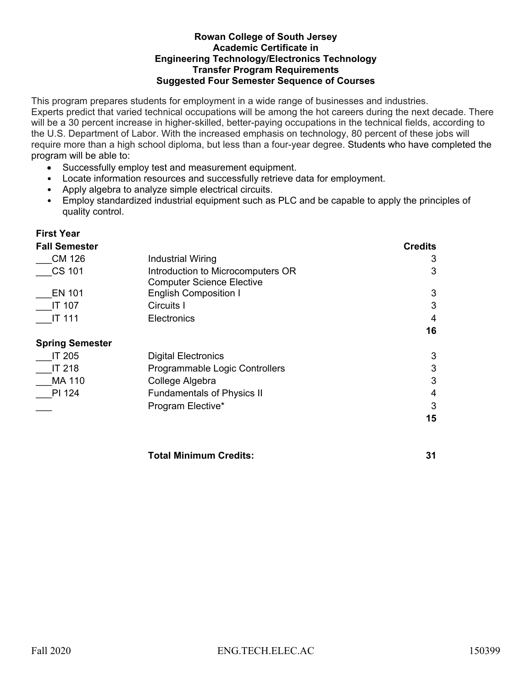#### **Rowan College of South Jersey Academic Certificate in** **Engineering Technology/Electronics Technology Transfer Program Requirements Suggested Four Semester Sequence of Courses**

This program prepares students for employment in a wide range of businesses and industries. Experts predict that varied technical occupations will be among the hot careers during the next decade. There will be a 30 percent increase in higher-skilled, better-paying occupations in the technical fields, according to the U.S. Department of Labor. With the increased emphasis on technology, 80 percent of these jobs will require more than a high school diploma, but less than a four-year degree. Students who have completed the program will be able to:

- Successfully employ test and measurement equipment.
- Locate information resources and successfully retrieve data for employment.
- Apply algebra to analyze simple electrical circuits.
- Employ standardized industrial equipment such as PLC and be capable to apply the principles of quality control.

## **First Year**

## **Fall Semester Credits** \_\_\_CM 126 Industrial Wiring 3 CS 101 **Introduction to Microcomputers OR** Computer Science Elective 3 EN 101 English Composition I 3 \_\_\_IT 107 Circuits I 3 \_\_\_IT 111 Electronics 4 **16 Spring Semester**  IT 205 Digital Electronics 3 IT 218 Programmable Logic Controllers 3 MA 110 College Algebra 3 PI 124 Fundamentals of Physics II 4 Program Elective\* 3 **15**

**Total Minimum Credits: 31**